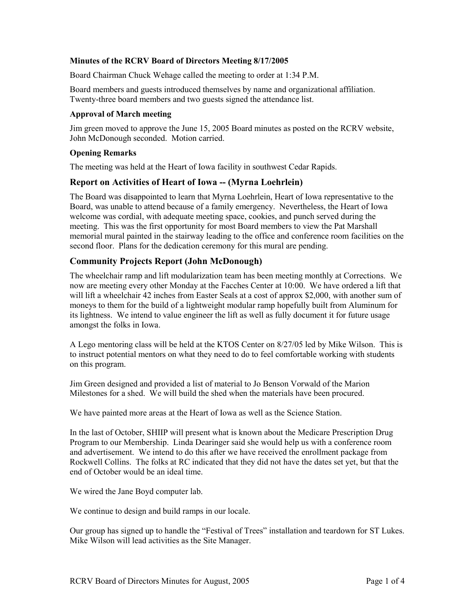## **Minutes of the RCRV Board of Directors Meeting 8/17/2005**

Board Chairman Chuck Wehage called the meeting to order at 1:34 P.M.

Board members and guests introduced themselves by name and organizational affiliation. Twenty-three board members and two guests signed the attendance list.

## **Approval of March meeting**

Jim green moved to approve the June 15, 2005 Board minutes as posted on the RCRV website, John McDonough seconded. Motion carried.

## **Opening Remarks**

The meeting was held at the Heart of Iowa facility in southwest Cedar Rapids.

# **Report on Activities of Heart of Iowa -- (Myrna Loehrlein)**

The Board was disappointed to learn that Myrna Loehrlein, Heart of Iowa representative to the Board, was unable to attend because of a family emergency. Nevertheless, the Heart of Iowa welcome was cordial, with adequate meeting space, cookies, and punch served during the meeting. This was the first opportunity for most Board members to view the Pat Marshall memorial mural painted in the stairway leading to the office and conference room facilities on the second floor. Plans for the dedication ceremony for this mural are pending.

# **Community Projects Report (John McDonough)**

The wheelchair ramp and lift modularization team has been meeting monthly at Corrections. We now are meeting every other Monday at the Facches Center at 10:00. We have ordered a lift that will lift a wheelchair 42 inches from Easter Seals at a cost of approx \$2,000, with another sum of moneys to them for the build of a lightweight modular ramp hopefully built from Aluminum for its lightness. We intend to value engineer the lift as well as fully document it for future usage amongst the folks in Iowa.

A Lego mentoring class will be held at the KTOS Center on 8/27/05 led by Mike Wilson. This is to instruct potential mentors on what they need to do to feel comfortable working with students on this program.

Jim Green designed and provided a list of material to Jo Benson Vorwald of the Marion Milestones for a shed. We will build the shed when the materials have been procured.

We have painted more areas at the Heart of Iowa as well as the Science Station.

In the last of October, SHIIP will present what is known about the Medicare Prescription Drug Program to our Membership. Linda Dearinger said she would help us with a conference room and advertisement. We intend to do this after we have received the enrollment package from Rockwell Collins. The folks at RC indicated that they did not have the dates set yet, but that the end of October would be an ideal time.

We wired the Jane Boyd computer lab.

We continue to design and build ramps in our locale.

Our group has signed up to handle the "Festival of Trees" installation and teardown for ST Lukes. Mike Wilson will lead activities as the Site Manager.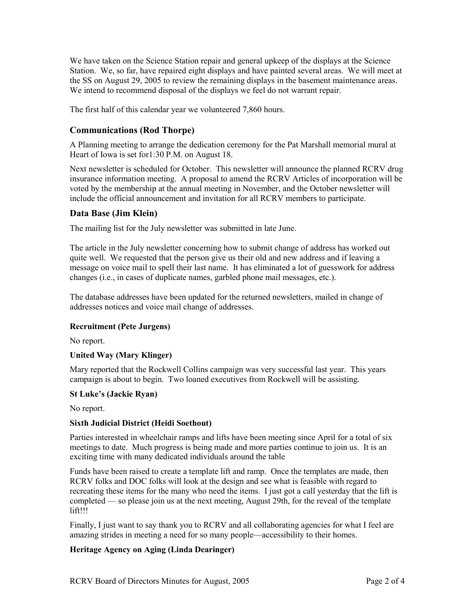We have taken on the Science Station repair and general upkeep of the displays at the Science Station. We, so far, have repaired eight displays and have painted several areas. We will meet at the SS on August 29, 2005 to review the remaining displays in the basement maintenance areas. We intend to recommend disposal of the displays we feel do not warrant repair.

The first half of this calendar year we volunteered 7,860 hours.

# **Communications (Rod Thorpe)**

A Planning meeting to arrange the dedication ceremony for the Pat Marshall memorial mural at Heart of Iowa is set for1:30 P.M. on August 18.

Next newsletter is scheduled for October. This newsletter will announce the planned RCRV drug insurance information meeting. A proposal to amend the RCRV Articles of incorporation will be voted by the membership at the annual meeting in November, and the October newsletter will include the official announcement and invitation for all RCRV members to participate.

# **Data Base (Jim Klein)**

The mailing list for the July newsletter was submitted in late June.

The article in the July newsletter concerning how to submit change of address has worked out quite well. We requested that the person give us their old and new address and if leaving a message on voice mail to spell their last name. It has eliminated a lot of guesswork for address changes (i.e., in cases of duplicate names, garbled phone mail messages, etc.).

The database addresses have been updated for the returned newsletters, mailed in change of addresses notices and voice mail change of addresses.

## **Recruitment (Pete Jurgens)**

No report.

# **United Way (Mary Klinger)**

Mary reported that the Rockwell Collins campaign was very successful last year. This years campaign is about to begin. Two loaned executives from Rockwell will be assisting.

## **St Luke's (Jackie Ryan)**

No report.

## **Sixth Judicial District (Heidi Soethout)**

Parties interested in wheelchair ramps and lifts have been meeting since April for a total of six meetings to date. Much progress is being made and more parties continue to join us. It is an exciting time with many dedicated individuals around the table

Funds have been raised to create a template lift and ramp. Once the templates are made, then RCRV folks and DOC folks will look at the design and see what is feasible with regard to recreating these items for the many who need the items. I just got a call yesterday that the lift is completed — so please join us at the next meeting, August 29th, for the reveal of the template lift!!!

Finally, I just want to say thank you to RCRV and all collaborating agencies for what I feel are amazing strides in meeting a need for so many people—accessibility to their homes.

## **Heritage Agency on Aging (Linda Dearinger)**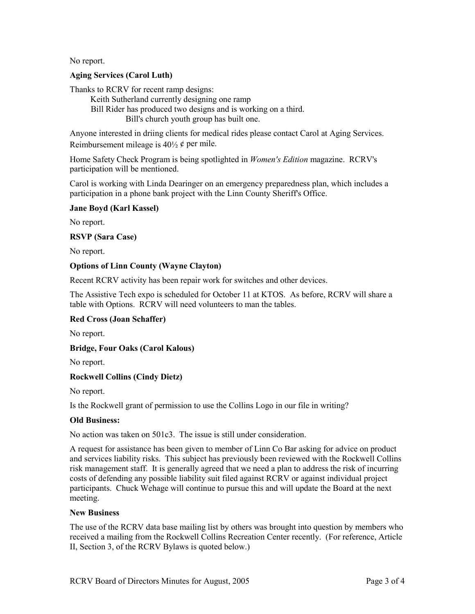No report.

# **Aging Services (Carol Luth)**

Thanks to RCRV for recent ramp designs:

Keith Sutherland currently designing one ramp Bill Rider has produced two designs and is working on a third. Bill's church youth group has built one.

Anyone interested in driing clients for medical rides please contact Carol at Aging Services. Reimbursement mileage is  $40\frac{1}{2}$  ¢ per mile.

Home Safety Check Program is being spotlighted in *Women's Edition* magazine. RCRV's participation will be mentioned.

Carol is working with Linda Dearinger on an emergency preparedness plan, which includes a participation in a phone bank project with the Linn County Sheriff's Office.

## **Jane Boyd (Karl Kassel)**

No report.

## **RSVP (Sara Case)**

No report.

## **Options of Linn County (Wayne Clayton)**

Recent RCRV activity has been repair work for switches and other devices.

The Assistive Tech expo is scheduled for October 11 at KTOS. As before, RCRV will share a table with Options. RCRV will need volunteers to man the tables.

# **Red Cross (Joan Schaffer)**

No report.

## **Bridge, Four Oaks (Carol Kalous)**

No report.

# **Rockwell Collins (Cindy Dietz)**

No report.

Is the Rockwell grant of permission to use the Collins Logo in our file in writing?

# **Old Business:**

No action was taken on 501c3. The issue is still under consideration.

A request for assistance has been given to member of Linn Co Bar asking for advice on product and services liability risks. This subject has previously been reviewed with the Rockwell Collins risk management staff. It is generally agreed that we need a plan to address the risk of incurring costs of defending any possible liability suit filed against RCRV or against individual project participants. Chuck Wehage will continue to pursue this and will update the Board at the next meeting.

## **New Business**

The use of the RCRV data base mailing list by others was brought into question by members who received a mailing from the Rockwell Collins Recreation Center recently. (For reference, Article II, Section 3, of the RCRV Bylaws is quoted below.)